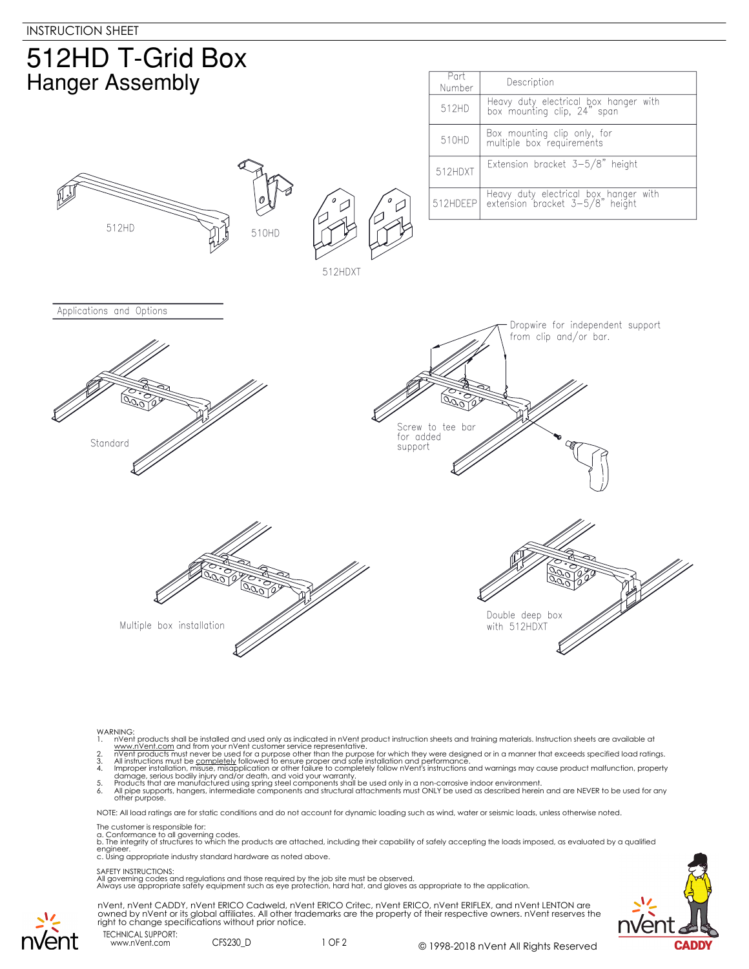

- 
- 
- 
- WARNING:<br>
1. NYent products shall be installed and used only as indicated in nVent product instruction sheets and training materials. Instruction sheets are available at<br>
1. www.nVent.com and from your nVent customer servi

NOTE: All load ratings are for static conditions and do not account for dynamic loading such as wind, water or seismic loads, unless otherwise noted.

## The customer is responsible for:

a. Conformance to all governing codes.<br>b. The integrity of structures to which the products are attached, including their capability of safely accepting the loads imposed, as evaluated by a qualified engineer. c. Using appropriate industry standard hardware as noted above.

## SAFETY INSTRUCTIONS:

All governing codes and regulations and those required by the job site must be observed. Always use appropriate safety equipment such as eye protection, hard hat, and gloves as appropriate to the application.



nVent, nVent CADDY, nVent ERICO Cadweld, nVent ERICO Critec, nVent ERICO, nVent ERIFLEX, and nVent LENTON are<br>owned by nVent or its global affiliates. All other trademarks are the property of their respective owners. nVent right to change specifications without prior notice.

TECHNICAL SUPPORT: www.nVent.com CFS230\_D

nvent

1 OF 2 © 1998-2018 nVent All Rights Reserved